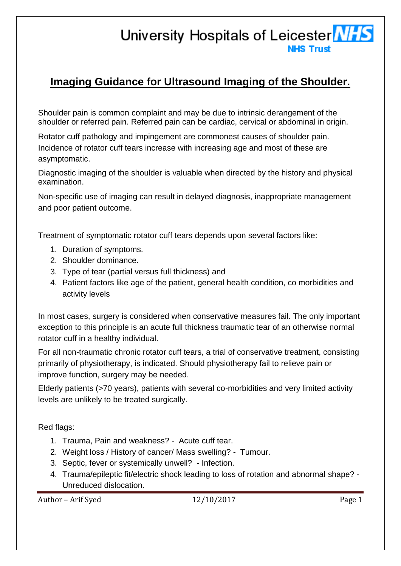## University Hospitals of Leicester MHS **NHS Trust**

## **Imaging Guidance for Ultrasound Imaging of the Shoulder.**

Shoulder pain is common complaint and may be due to intrinsic derangement of the shoulder or referred pain. Referred pain can be cardiac, cervical or abdominal in origin.

Rotator cuff pathology and impingement are commonest causes of shoulder pain. Incidence of rotator cuff tears increase with increasing age and most of these are asymptomatic.

Diagnostic imaging of the shoulder is valuable when directed by the history and physical examination.

Non-specific use of imaging can result in delayed diagnosis, inappropriate management and poor patient outcome.

Treatment of symptomatic rotator cuff tears depends upon several factors like:

- 1. Duration of symptoms.
- 2. Shoulder dominance.
- 3. Type of tear (partial versus full thickness) and
- 4. Patient factors like age of the patient, general health condition, co morbidities and activity levels

In most cases, surgery is considered when conservative measures fail. The only important exception to this principle is an acute full thickness traumatic tear of an otherwise normal rotator cuff in a healthy individual.

For all non-traumatic chronic rotator cuff tears, a trial of conservative treatment, consisting primarily of physiotherapy, is indicated. Should physiotherapy fail to relieve pain or improve function, surgery may be needed.

Elderly patients (>70 years), patients with several co-morbidities and very limited activity levels are unlikely to be treated surgically.

Red flags:

- 1. Trauma, Pain and weakness? Acute cuff tear.
- 2. Weight loss / History of cancer/ Mass swelling? Tumour.
- 3. Septic, fever or systemically unwell? Infection.
- 4. Trauma/epileptic fit/electric shock leading to loss of rotation and abnormal shape? Unreduced dislocation.

Author – Arif Syed 12/10/2017 Page 1